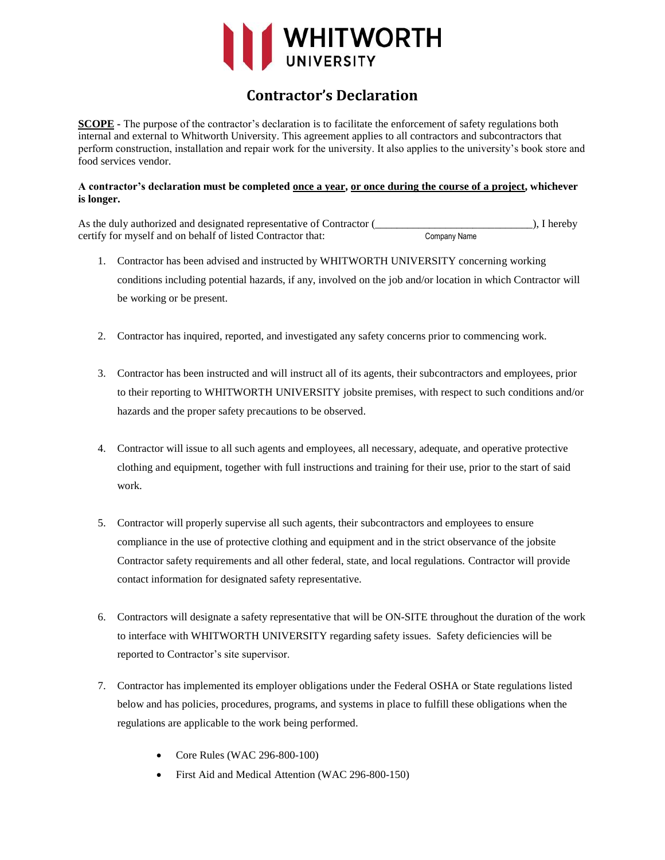

## **Contractor's Declaration**

**SCOPE -** The purpose of the contractor's declaration is to facilitate the enforcement of safety regulations both internal and external to Whitworth University. This agreement applies to all contractors and subcontractors that perform construction, installation and repair work for the university. It also applies to the university's book store and food services vendor.

## **A contractor's declaration must be completed once a year, or once during the course of a project, whichever is longer.**

As the duly authorized and designated representative of Contractor (  $\qquad \qquad$  ), I hereby certify for myself and on behalf of listed Contractor that: Company Name

- 1. Contractor has been advised and instructed by WHITWORTH UNIVERSITY concerning working conditions including potential hazards, if any, involved on the job and/or location in which Contractor will be working or be present.
- 2. Contractor has inquired, reported, and investigated any safety concerns prior to commencing work.
- 3. Contractor has been instructed and will instruct all of its agents, their subcontractors and employees, prior to their reporting to WHITWORTH UNIVERSITY jobsite premises, with respect to such conditions and/or hazards and the proper safety precautions to be observed.
- 4. Contractor will issue to all such agents and employees, all necessary, adequate, and operative protective clothing and equipment, together with full instructions and training for their use, prior to the start of said work.
- 5. Contractor will properly supervise all such agents, their subcontractors and employees to ensure compliance in the use of protective clothing and equipment and in the strict observance of the jobsite Contractor safety requirements and all other federal, state, and local regulations. Contractor will provide contact information for designated safety representative.
- 6. Contractors will designate a safety representative that will be ON-SITE throughout the duration of the work to interface with WHITWORTH UNIVERSITY regarding safety issues. Safety deficiencies will be reported to Contractor's site supervisor.
- 7. Contractor has implemented its employer obligations under the Federal OSHA or State regulations listed below and has policies, procedures, programs, and systems in place to fulfill these obligations when the regulations are applicable to the work being performed.
	- Core Rules (WAC 296-800-100)
	- First Aid and Medical Attention (WAC 296-800-150)